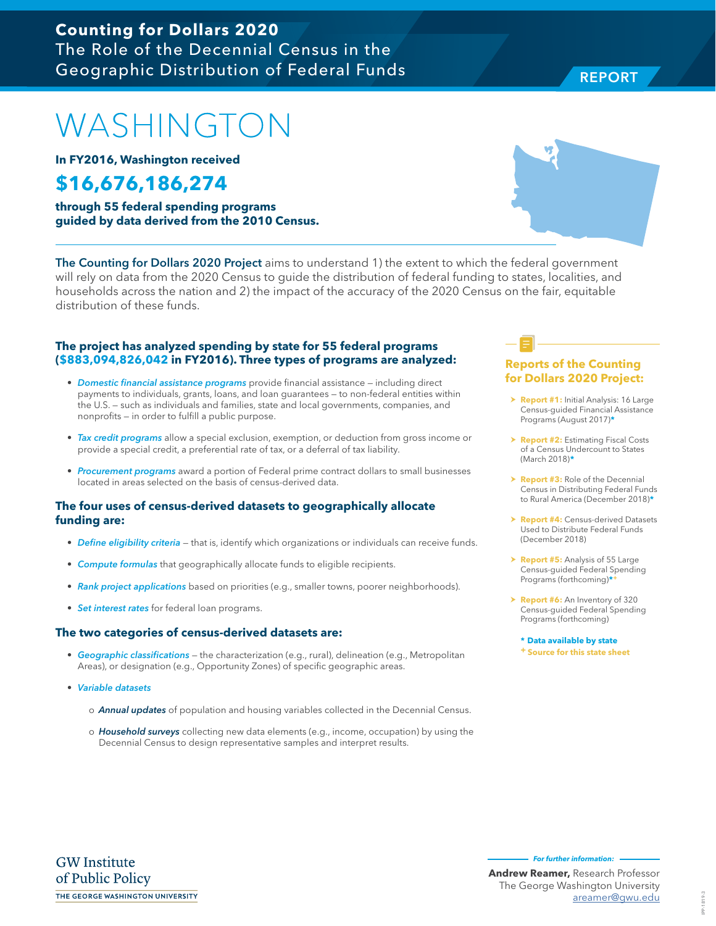# WASHINGTON

**In FY2016, Washington received**

## **\$16,676,186,274**

**through 55 federal spending programs guided by data derived from the 2010 Census.**

The Counting for Dollars 2020 Project aims to understand 1) the extent to which the federal government will rely on data from the 2020 Census to guide the distribution of federal funding to states, localities, and households across the nation and 2) the impact of the accuracy of the 2020 Census on the fair, equitable distribution of these funds.

#### **The project has analyzed spending by state for 55 federal programs (\$883,094,826,042 in FY2016). Three types of programs are analyzed:**

- Domestic financial assistance programs provide financial assistance including direct payments to individuals, grants, loans, and loan guarantees — to non-federal entities within the U.S. — such as individuals and families, state and local governments, companies, and nonprofits — in order to fulfill a public purpose.
- Tax credit programs allow a special exclusion, exemption, or deduction from gross income or provide a special credit, a preferential rate of tax, or a deferral of tax liability.
- Procurement programs award a portion of Federal prime contract dollars to small businesses located in areas selected on the basis of census-derived data.

#### **The four uses of census-derived datasets to geographically allocate funding are:**

- Define eligibility criteria that is, identify which organizations or individuals can receive funds.
- Compute formulas that geographically allocate funds to eligible recipients.
- Rank project applications based on priorities (e.g., smaller towns, poorer neighborhoods).
- Set interest rates for federal loan programs.

#### **The two categories of census-derived datasets are:**

- Geographic classifications the characterization (e.g., rural), delineation (e.g., Metropolitan Areas), or designation (e.g., Opportunity Zones) of specific geographic areas.
- Variable datasets
	- o **Annual updates** of population and housing variables collected in the Decennial Census.
	- o Household surveys collecting new data elements (e.g., income, occupation) by using the Decennial Census to design representative samples and interpret results.

#### **Reports of the Counting for Dollars 2020 Project:**

- **> Report #1:** Initial Analysis: 16 Large Census-guided Financial Assistance Programs (August 2017)**\***
- **h Report #2: Estimating Fiscal Costs** of a Census Undercount to States (March 2018)**\***
- **Report #3:** Role of the Decennial Census in Distributing Federal Funds to Rural America (December 2018)**\***
- **Report #4: Census-derived Datasets** Used to Distribute Federal Funds (December 2018)
- > **Report #5:** Analysis of 55 Large Census-guided Federal Spending Programs (forthcoming)**\*+**
- h **Report #6:** An Inventory of 320 Census-guided Federal Spending Programs (forthcoming)

**\* Data available by state + Source for this state sheet**

**GW** Institute of Public Policy THE GEORGE WASHINGTON UNIVERSITY **For further information:** 



### **Counting for Dollars 2020**  The Role of the Decennial Census in the Geographic Distribution of Federal Funds